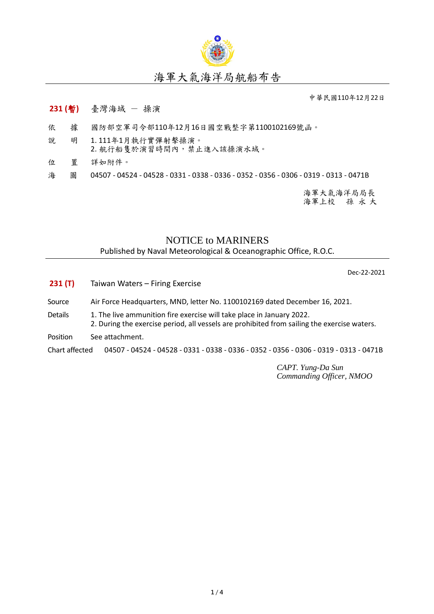

## 海軍大氣海洋局航船布告

中華民國110年12月22日

## **231 (**暫**)** 臺灣海域 - 操演

- 依 據 國防部空軍司令部110年12月16日國空戰整字第1100102169號函。
- 說 明 1. 111年1月執行實彈射擊操演。 2. 航行船隻於演習時間內,禁止進入該操演水域。
- 位 置 詳如附件。

海 圖 04507 - 04524 - 04528 - 0331 - 0338 - 0336 - 0352 - 0356 - 0306 - 0319 - 0313 - 0471B

海軍大氣海洋局局長 海軍上校 孫 永 大

## NOTICE to MARINERS

Published by Naval Meteorological & Oceanographic Office, R.O.C.

Dec-22-2021

- **231 (T)** Taiwan Waters Firing Exercise
- Source Air Force Headquarters, MND, letter No. 1100102169 dated December 16, 2021.
- Details 1. The live ammunition fire exercise will take place in January 2022. 2. During the exercise period, all vessels are prohibited from sailing the exercise waters.
- Position See attachment.

Chart affected 04507 - 04524 - 04528 - 0331 - 0338 - 0336 - 0352 - 0356 - 0306 - 0319 - 0313 - 0471B

*CAPT. Yung-Da Sun Commanding Officer, NMOO*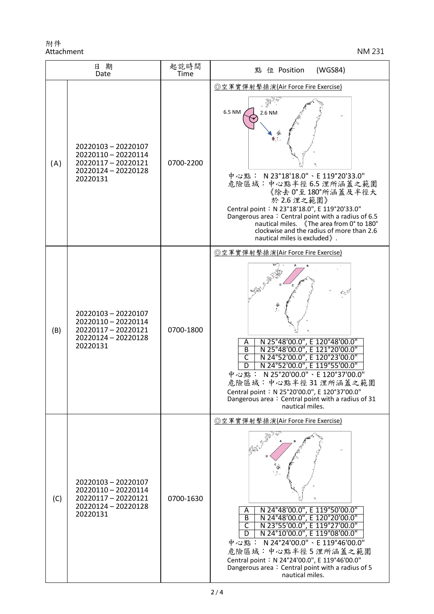附件 Attachment NM 231

| 日期<br>Date |                                                                                                      | 起訖時間<br><b>Time</b> | (WGS84)<br>點<br>位 Position                                                                                                                                                                                                                                                                                                                                                                |
|------------|------------------------------------------------------------------------------------------------------|---------------------|-------------------------------------------------------------------------------------------------------------------------------------------------------------------------------------------------------------------------------------------------------------------------------------------------------------------------------------------------------------------------------------------|
| (A)        | 20220103 - 20220107<br>20220110 - 20220114<br>20220117 - 20220121<br>20220124 - 20220128<br>20220131 | 0700-2200           | ◎空軍實彈射擊操演(Air Force Fire Exercise)<br>6.5 NM<br>2.6 NM<br>中心點: N23°18'18.0"、E 119°20'33.0"<br>危險區域:中心點半徑6.5 浬所涵蓋之範圍<br>《除去 0°至180°所涵蓋及半徑大<br>於 2.6 浬之範圍》<br>Central point: N 23°18'18.0", E 119°20'33.0"<br>Dangerous area: Central point with a radius of 6.5<br>nautical miles. 《The area from 0° to 180°<br>clockwise and the radius of more than 2.6<br>nautical miles is excluded ». |
| (B)        | 20220103 - 20220107<br>20220110 - 20220114<br>20220117 - 20220121<br>20220124 - 20220128<br>20220131 | 0700-1800           | ◎空軍實彈射擊操演(Air Force Fire Exercise)<br>N 25°48'00.0", E 120°48'00.0"<br>Α<br>N 25°48'00.0", E 121°20'00.0"<br>B<br>N 24°52'00.0", E 120°23'00.0"<br>N 24°52'00.0", E 119°55'00.0"<br>C<br>D<br>中心點: N 25°20'00.0"、E 120°37'00.0"<br>危險區域:中心點半徑31浬所涵蓋之範圍<br>Central point: N 25°20'00.0", E 120°37'00.0"<br>Dangerous area: Central point with a radius of 31<br>nautical miles.            |
| (C)        | 20220103 - 20220107<br>20220110 - 20220114<br>20220117-20220121<br>20220124 - 20220128<br>20220131   | 0700-1630           | ◎空軍實彈射擊操演(Air Force Fire Exercise)<br>N 24°48'00.0", E 119°50'00.0"<br>N 24°48'00.0", E 120°20'00.0"<br>A<br>$\overline{B}$<br>N 23°55'00.0", E 119°27'00.0"<br>C<br>N 24°10'00.0", E 119°08'00.0"<br>D<br>中心點: N 24°24'00.0"、E 119°46'00.0"<br>危險區域:中心點半徑5浬所涵蓋之範圍<br>Central point: N 24°24'00.0", E 119°46'00.0"<br>Dangerous area: Central point with a radius of 5<br>nautical miles. |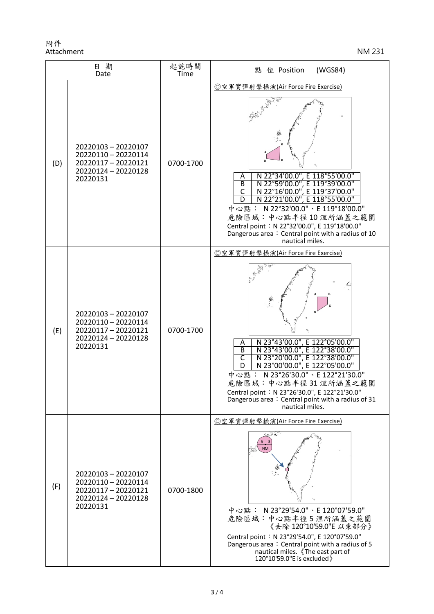附件 Attachment NM 231

| 日期<br>Date |                                                                                                      | 起訖時間<br>Time | 點 位 Position<br>(WGS84)                                                                                                                                                                                                                                                                                                                                                                                                 |
|------------|------------------------------------------------------------------------------------------------------|--------------|-------------------------------------------------------------------------------------------------------------------------------------------------------------------------------------------------------------------------------------------------------------------------------------------------------------------------------------------------------------------------------------------------------------------------|
| (D)        | 20220103 - 20220107<br>20220110 - 20220114<br>20220117-20220121<br>20220124 - 20220128<br>20220131   | 0700-1700    | ◎空軍實彈射擊操演(Air Force Fire Exercise)<br>N 22°34'00.0", E 118°55'00.0"<br>Α<br>N 22°59'00.0", E 119°39'00.0"<br>$\overline{B}$<br>N 22°16'00.0", E 119°37'00.0"<br>$\overline{\mathsf{C}}$<br>N 22°21'00.0", E 118°55'00.0"<br>D<br>中心點: N22°32'00.0"、E 119°18'00.0"<br>危險區域:中心點半徑10浬所涵蓋之範圍<br>Central point: N 22°32'00.0", E 119°18'00.0"<br>Dangerous area: Central point with a radius of 10<br>nautical miles.        |
| (E)        | 20220103 - 20220107<br>20220110 - 20220114<br>20220117-20220121<br>20220124 - 20220128<br>20220131   | 0700-1700    | ◎空軍實彈射擊操演(Air Force Fire Exercise)<br>N 23°43'00.0", E 122°05'00.0"<br>N 23°43'00.0", E 122°38'00.0"<br>A<br>$\overline{B}$<br>$\overline{\mathsf{C}}$<br>N 23°20'00.0", E 122°38'00.0"<br>N 23°00'00.0", E 122°05'00.0"<br>D<br>N 23°26'30.0" \ E 122°21'30.0"<br>中心點:<br>危險區域:中心點半徑31 浬所涵蓋之範圍<br>Central point: N 23°26'30.0", E 122°21'30.0"<br>Dangerous area: Central point with a radius of 31<br>nautical miles. |
| (F)        | 20220103 - 20220107<br>20220110 - 20220114<br>20220117 - 20220121<br>20220124 - 20220128<br>20220131 | 0700-1800    | ◎空軍實彈射擊操演(Air Force Fire Exercise)<br><b>NM</b><br>中心點: N 23°29'54.0"、E 120°07'59.0"<br>危險區域:中心點半徑5浬所涵蓋之範圍<br>《去除 120°10'59.0"E 以東部分》<br>Central point: N 23°29'54.0", E 120°07'59.0"<br>Dangerous area: Central point with a radius of 5<br>nautical miles. 《The east part of<br>120°10'59.0"E is excluded)                                                                                                            |